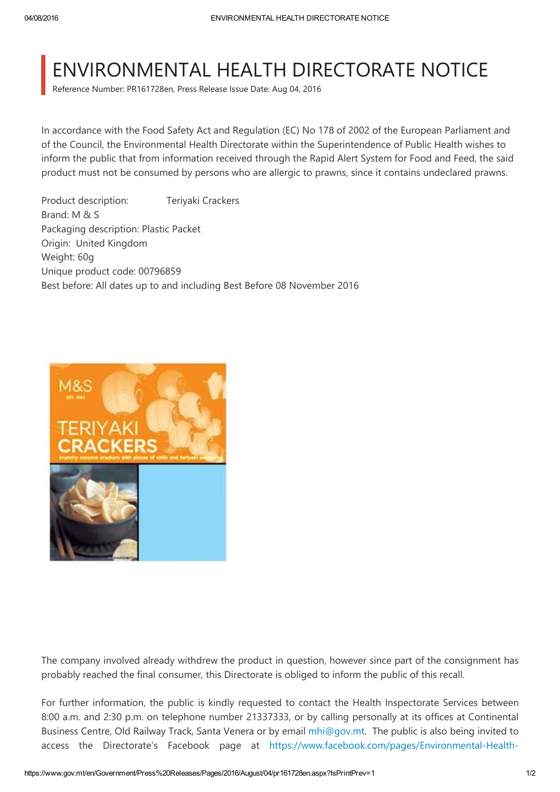## ENVIRONMENTAL HEALTH DIRECTORATE NOTICE

Reference Number: PR161728en, Press Release Issue Date: Aug 04, 2016

In accordance with the Food Safety Act and Regulation (EC) No 178 of 2002 of the European Parliament and of the Council, the Environmental Health Directorate within the Superintendence of Public Health wishes to inform the public that from information received through the Rapid Alert System for Food and Feed, the said product must not be consumed by persons who are allergic to prawns, since it contains undeclared prawns.

Product description: Teriyaki Crackers Brand: M & S Packaging description: Plastic Packet Origin: United Kingdom Weight: 60g Unique product code: 00796859 Best before: All dates up to and including Best Before 08 November 2016



The company involved already withdrew the product in question, however since part of the consignment has probably reached the final consumer, this Directorate is obliged to inform the public of this recall.

For further information, the public is kindly requested to contact the Health Inspectorate Services between 8:00 a.m. and 2:30 p.m. on telephone number 21337333, or by calling personally at its offices at Continental Business Centre, Old Railway Track, Santa Venera or by email [mhi@gov.mt.](mailto:mhi@gov.mt) The public is also being invited to access the Directorate's Facebook page at [https://www.facebook.com/pages/Environmental‐Health‐](https://www.facebook.com/pages/Environmental-Health-Directorate-Malta/145027878928626?ref=hl)